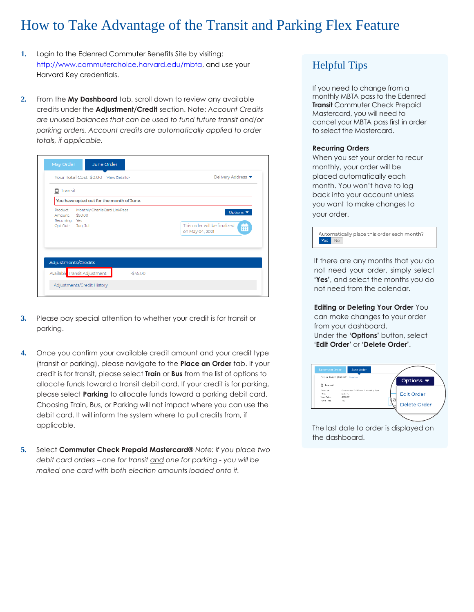## How to Take Advantage of the Transit and Parking Flex Feature

- **1.** Login to the Edenred Commuter Benefits Site by visiting: [http://www.commuterchoice.harvard.edu/mbta,](http://www.commuterchoice.harvard.edu/mbta) and use your Harvard Key credentials.
- **2.** From the **My Dashboard** tab, scroll down to review any available credits under the **Adjustment/Credit** section. Note: *Account Credits are unused balances that can be used to fund future transit and/or parking orders. Account credits are automatically applied to order totals, if applicable.*

| Your Total Cost: \$0.00 View Details>                                                                    | Delivery Address ▼                                                                   |  |
|----------------------------------------------------------------------------------------------------------|--------------------------------------------------------------------------------------|--|
| ≏<br>Transit                                                                                             |                                                                                      |  |
| You have opted out for the month of June.                                                                |                                                                                      |  |
| Monthly CharlieCard LinkPass<br>Product:<br>\$90.00<br>Amount:<br>Recurring: Yes<br>Opt Out:<br>Jun, Jul | Options $\blacktriangledown$<br>This order will be finalized<br>藟<br>on May 04, 2021 |  |
| Adjustments/Credits                                                                                      |                                                                                      |  |
| Available Transit Adjustment:<br>$-$45.00$                                                               |                                                                                      |  |

- **3.** Please pay special attention to whether your credit is for transit or parking.
- **4.** Once you confirm your available credit amount and your credit type (transit or parking), please navigate to the **Place an Order** tab. If your credit is for transit, please select **Train** or **Bus** from the list of options to allocate funds toward a transit debit card. If your credit is for parking, please select **Parking** to allocate funds toward a parking debit card. Choosing Train, Bus, or Parking will not impact where you can use the debit card. It will inform the system where to pull credits from, if applicable.
- **5.** Select **Commuter Check Prepaid Mastercard®** *Note: if you place two debit card orders – one for transit and one for parking - you will be mailed one card with both election amounts loaded onto it.*

## Helpful Tips

If you need to change from a monthly MBTA pass to the Edenred **Transit** Commuter Check Prepaid Mastercard, you will need to cancel your MBTA pass first in order to select the Mastercard.

## **Recurring Orders**

When you set your order to recur monthly, your order will be placed automatically each month. You won't have to log back into your account unless you want to make changes to your order.



If there are any months that you do not need your order, simply select **'Yes'**, and select the months you do not need from the calendar.

**Editing or Deleting Your Order** You can make changes to your order from your dashboard. Under the **'Options'** button, select **'Edit Order'** or **'Delete Order'**.

| C Transit                        | Order Total: \$108.87 Derais-                             | Options $\blacktriangledown$ |
|----------------------------------|-----------------------------------------------------------|------------------------------|
| Product<br>Dring:<br>Vour Price: | Commuter Rail Zone 2 Monthly Pass<br>\$337.75<br>\$108.87 | <b>Edit Order</b>            |
| Recurring:                       | 7cs                                                       | ŋэ<br>Delete Order           |

The last date to order is displayed on the dashboard.